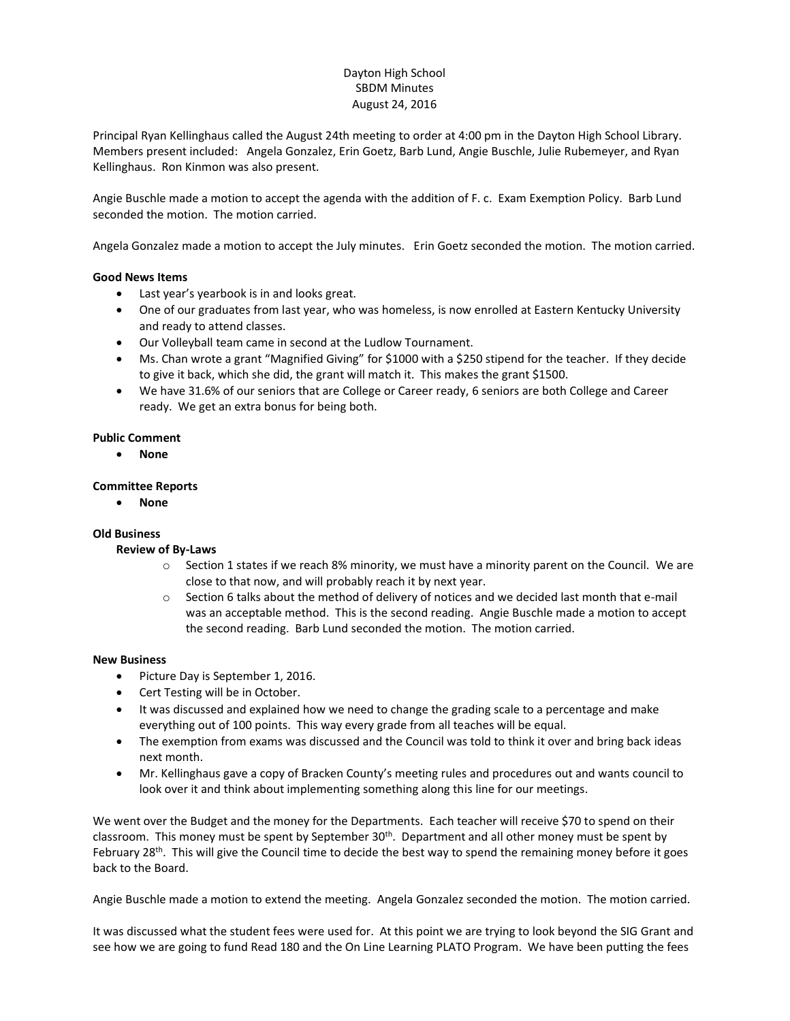# Dayton High School SBDM Minutes August 24, 2016

Principal Ryan Kellinghaus called the August 24th meeting to order at 4:00 pm in the Dayton High School Library. Members present included: Angela Gonzalez, Erin Goetz, Barb Lund, Angie Buschle, Julie Rubemeyer, and Ryan Kellinghaus. Ron Kinmon was also present.

Angie Buschle made a motion to accept the agenda with the addition of F. c. Exam Exemption Policy. Barb Lund seconded the motion. The motion carried.

Angela Gonzalez made a motion to accept the July minutes. Erin Goetz seconded the motion. The motion carried.

## **Good News Items**

- Last year's yearbook is in and looks great.
- One of our graduates from last year, who was homeless, is now enrolled at Eastern Kentucky University and ready to attend classes.
- Our Volleyball team came in second at the Ludlow Tournament.
- Ms. Chan wrote a grant "Magnified Giving" for \$1000 with a \$250 stipend for the teacher. If they decide to give it back, which she did, the grant will match it. This makes the grant \$1500.
- We have 31.6% of our seniors that are College or Career ready, 6 seniors are both College and Career ready. We get an extra bonus for being both.

## **Public Comment**

**None**

## **Committee Reports**

**None** 

## **Old Business**

## **Review of By-Laws**

- o Section 1 states if we reach 8% minority, we must have a minority parent on the Council. We are close to that now, and will probably reach it by next year.
- $\circ$  Section 6 talks about the method of delivery of notices and we decided last month that e-mail was an acceptable method. This is the second reading. Angie Buschle made a motion to accept the second reading. Barb Lund seconded the motion. The motion carried.

## **New Business**

- Picture Day is September 1, 2016.
- Cert Testing will be in October.
- It was discussed and explained how we need to change the grading scale to a percentage and make everything out of 100 points. This way every grade from all teaches will be equal.
- The exemption from exams was discussed and the Council was told to think it over and bring back ideas next month.
- Mr. Kellinghaus gave a copy of Bracken County's meeting rules and procedures out and wants council to look over it and think about implementing something along this line for our meetings.

We went over the Budget and the money for the Departments. Each teacher will receive \$70 to spend on their classroom. This money must be spent by September 30<sup>th</sup>. Department and all other money must be spent by February 28<sup>th</sup>. This will give the Council time to decide the best way to spend the remaining money before it goes back to the Board.

Angie Buschle made a motion to extend the meeting. Angela Gonzalez seconded the motion. The motion carried.

It was discussed what the student fees were used for. At this point we are trying to look beyond the SIG Grant and see how we are going to fund Read 180 and the On Line Learning PLATO Program. We have been putting the fees